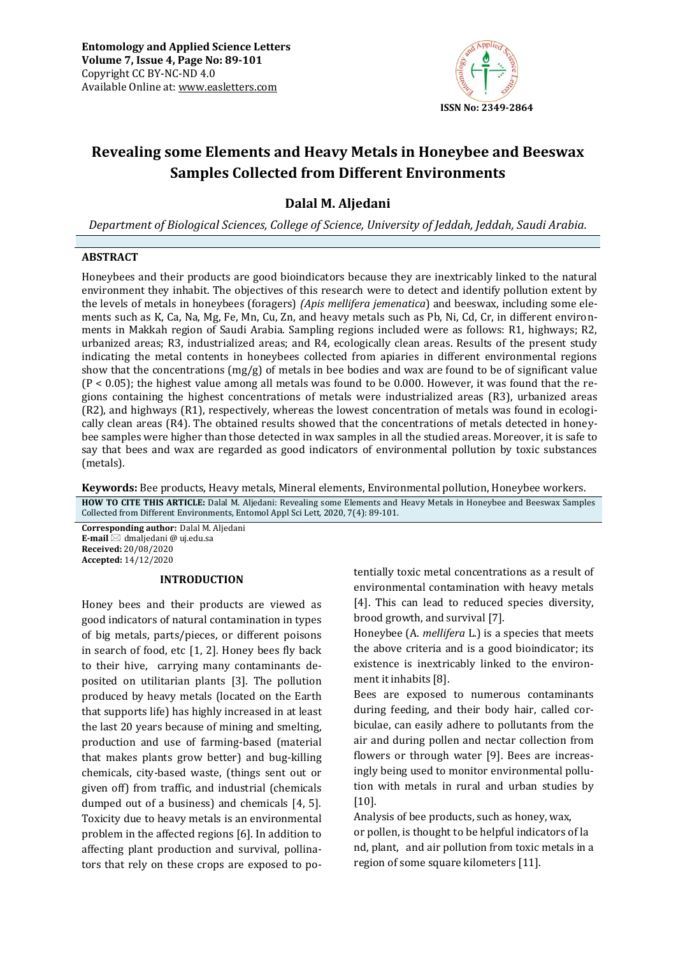

# **Revealing some Elements and Heavy Metals in Honeybee and Beeswax Samples Collected from Different Environments**

# **Dalal M. Aljedani**

*Department of Biological Sciences, College of Science, University of Jeddah, Jeddah, Saudi Arabia.* 

## **ABSTRACT**

Honeybees and their products are good bioindicators because they are inextricably linked to the natural environment they inhabit. The objectives of this research were to detect and identify pollution extent by the levels of metals in honeybees (foragers) *(Apis mellifera jemenatica*) and beeswax, including some elements such as K, Ca, Na, Mg, Fe, Mn, Cu, Zn, and heavy metals such as Pb, Ni, Cd, Cr, in different environments in Makkah region of Saudi Arabia. Sampling regions included were as follows: R1, highways; R2, urbanized areas; R3, industrialized areas; and R4, ecologically clean areas. Results of the present study indicating the metal contents in honeybees collected from apiaries in different environmental regions show that the concentrations  $(mg/g)$  of metals in bee bodies and wax are found to be of significant value  $(P < 0.05)$ ; the highest value among all metals was found to be 0.000. However, it was found that the regions containing the highest concentrations of metals were industrialized areas (R3), urbanized areas (R2), and highways (R1), respectively, whereas the lowest concentration of metals was found in ecologically clean areas (R4). The obtained results showed that the concentrations of metals detected in honeybee samples were higher than those detected in wax samples in all the studied areas. Moreover, it is safe to say that bees and wax are regarded as good indicators of environmental pollution by toxic substances (metals).

**Keywords:** Bee products, Heavy metals, Mineral elements, Environmental pollution, Honeybee workers. **HOW TO CITE THIS ARTICLE:** Dalal M. Aljedani: Revealing some Elements and Heavy Metals in Honeybee and Beeswax Samples Collected from Different Environments, Entomol Appl Sci Lett, 2020, 7(4): 89-101.

**Corresponding author:** Dalal M. Aljedani **E-mail** ⊠ dmaljedani @ uj.edu.sa **Received:** 20/08/2020 **Accepted:** 14/12/2020

#### **INTRODUCTION**

Honey bees and their products are viewed as good indicators of natural contamination in types of big metals, parts/pieces, or different poisons in search of food, etc [1, 2]. Honey bees fly back to their hive, carrying many contaminants deposited on utilitarian plants [3]. The pollution produced by heavy metals (located on the Earth that supports life) has highly increased in at least the last 20 years because of mining and smelting, production and use of farming-based (material that makes plants grow better) and bug-killing chemicals, city-based waste, (things sent out or given off) from traffic, and industrial (chemicals dumped out of a business) and chemicals [4, 5]. Toxicity due to heavy metals is an environmental problem in the affected regions [6]. In addition to affecting plant production and survival, pollinators that rely on these crops are exposed to potentially toxic metal concentrations as a result of environmental contamination with heavy metals [4]. This can lead to reduced species diversity, brood growth, and survival [7].

Honeybee (A. *mellifera* L.) is a species that meets the above criteria and is a good bioindicator; its existence is inextricably linked to the environment it inhabits [8].

Bees are exposed to numerous contaminants during feeding, and their body hair, called corbiculae, can easily adhere to pollutants from the air and during pollen and nectar collection from flowers or through water [9]. Bees are increasingly being used to monitor environmental pollution with metals in rural and urban studies by [10].

Analysis of bee products, such as honey, wax, or pollen, is thought to be helpful indicators of la nd, plant, and air pollution from toxic metals in a region of some square kilometers [11].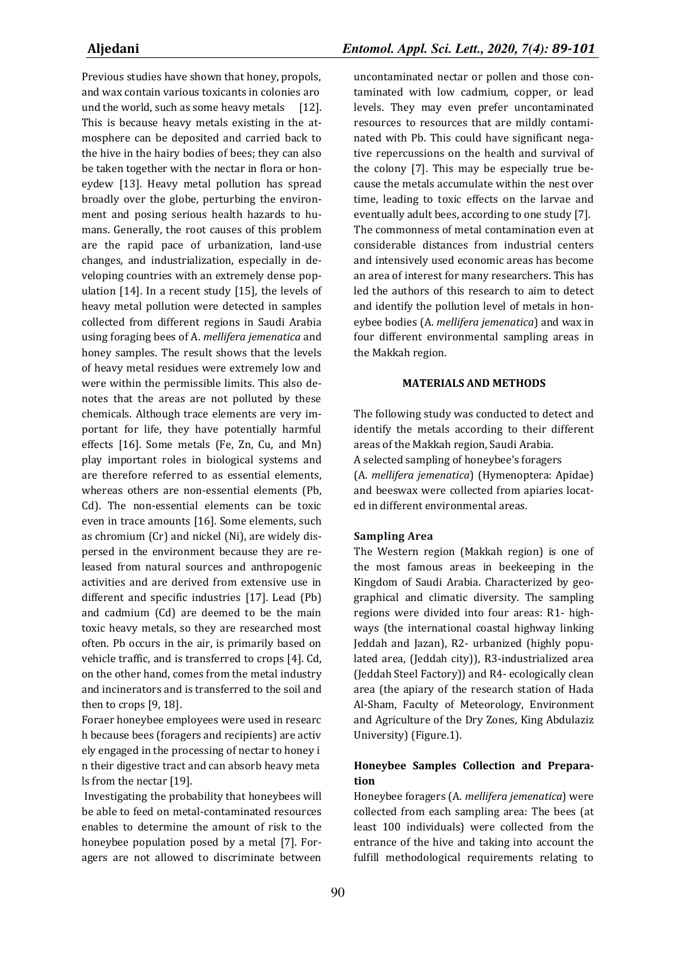Previous studies have shown that honey, propols, and wax contain various toxicants in colonies aro und the world, such as some heavy metals [12]. This is because heavy metals existing in the atmosphere can be deposited and carried back to the hive in the hairy bodies of bees; they can also be taken together with the nectar in flora or honeydew [13]. Heavy metal pollution has spread broadly over the globe, perturbing the environment and posing serious health hazards to humans. Generally, the root causes of this problem are the rapid pace of urbanization, land-use changes, and industrialization, especially in developing countries with an extremely dense population [14]. In a recent study [15], the levels of heavy metal pollution were detected in samples collected from different regions in Saudi Arabia using foraging bees of A. *mellifera jemenatica* and honey samples. The result shows that the levels of heavy metal residues were extremely low and were within the permissible limits. This also denotes that the areas are not polluted by these chemicals. Although trace elements are very important for life, they have potentially harmful effects [16]. Some metals (Fe, Zn, Cu, and Mn) play important roles in biological systems and are therefore referred to as essential elements, whereas others are non-essential elements (Pb, Cd). The non-essential elements can be toxic even in trace amounts [16]. Some elements, such as chromium (Cr) and nickel (Ni), are widely dispersed in the environment because they are released from natural sources and anthropogenic activities and are derived from extensive use in different and specific industries [17]. Lead (Pb) and cadmium (Cd) are deemed to be the main toxic heavy metals, so they are researched most often. Pb occurs in the air, is primarily based on vehicle traffic, and is transferred to crops [4]. Cd, on the other hand, comes from the metal industry and incinerators and is transferred to the soil and then to crops [9, 18].

Foraer honeybee employees were used in researc h because bees (foragers and recipients) are activ ely engaged in the processing of nectar to honey i n their digestive tract and can absorb heavy meta ls from the nectar [19].

 Investigating the probability that honeybees will be able to feed on metal-contaminated resources enables to determine the amount of risk to the honeybee population posed by a metal [7]. Foragers are not allowed to discriminate between uncontaminated nectar or pollen and those contaminated with low cadmium, copper, or lead levels. They may even prefer uncontaminated resources to resources that are mildly contaminated with Pb. This could have significant negative repercussions on the health and survival of the colony [7]. This may be especially true because the metals accumulate within the nest over time, leading to toxic effects on the larvae and eventually adult bees, according to one study [7]. The commonness of metal contamination even at considerable distances from industrial centers and intensively used economic areas has become an area of interest for many researchers. This has led the authors of this research to aim to detect and identify the pollution level of metals in honeybee bodies (A. *mellifera jemenatica*) and wax in four different environmental sampling areas in the Makkah region.

### **MATERIALS AND METHODS**

The following study was conducted to detect and identify the metals according to their different areas of the Makkah region, Saudi Arabia. A selected sampling of honeybee's foragers (A. *mellifera jemenatica*) (Hymenoptera: Apidae) and beeswax were collected from apiaries located in different environmental areas.

#### **Sampling Area**

The Western region (Makkah region) is one of the most famous areas in beekeeping in the Kingdom of Saudi Arabia. Characterized by geographical and climatic diversity. The sampling regions were divided into four areas: R1- highways (the international coastal highway linking Jeddah and Jazan), R2- urbanized (highly populated area, (Jeddah city)), R3-industrialized area (Jeddah Steel Factory)) and R4- ecologically clean area (the apiary of the research station of Hada Al-Sham, Faculty of Meteorology, Environment and Agriculture of the Dry Zones, King Abdulaziz University) (Figure.1).

## **Honeybee Samples Collection and Preparation**

Honeybee foragers (A. *mellifera jemenatica*) were collected from each sampling area: The bees (at least 100 individuals) were collected from the entrance of the hive and taking into account the fulfill methodological requirements relating to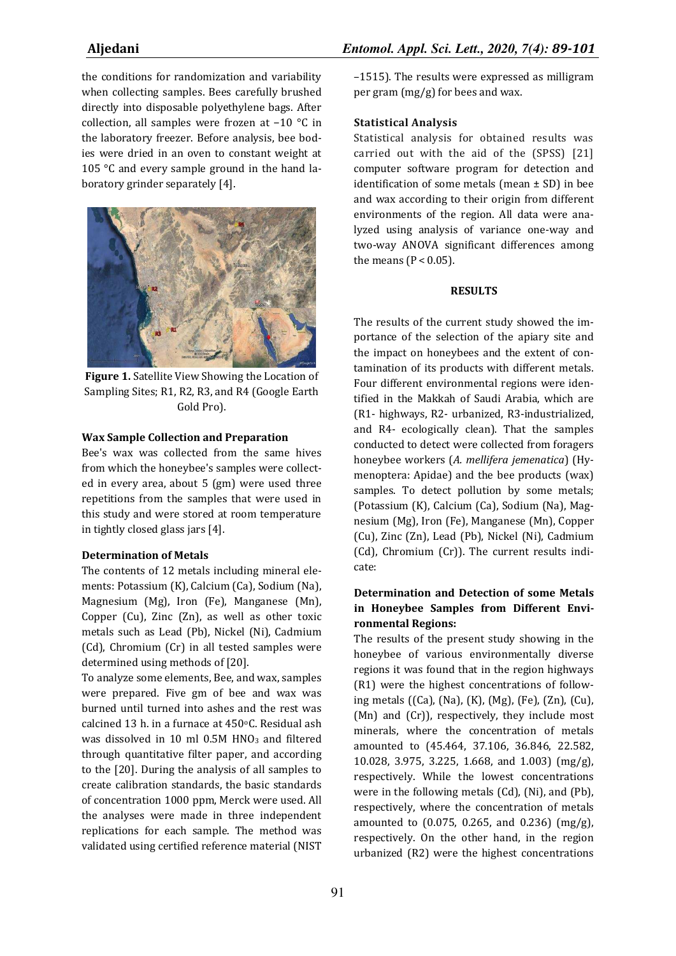the conditions for randomization and variability when collecting samples. Bees carefully brushed directly into disposable polyethylene bags. After collection, all samples were frozen at −10 °C in the laboratory freezer. Before analysis, bee bodies were dried in an oven to constant weight at 105 °C and every sample ground in the hand laboratory grinder separately [4].



**Figure 1.** Satellite View Showing the Location of Sampling Sites; R1, R2, R3, and R4 (Google Earth Gold Pro).

#### **Wax Sample Collection and Preparation**

Bee's wax was collected from the same hives from which the honeybee's samples were collected in every area, about 5 (gm) were used three repetitions from the samples that were used in this study and were stored at room temperature in tightly closed glass jars [4].

### **Determination of Metals**

The contents of 12 metals including mineral elements: Potassium (K), Calcium (Ca), Sodium (Na), Magnesium (Mg), Iron (Fe), Manganese (Mn), Copper (Cu), Zinc (Zn), as well as other toxic metals such as Lead (Pb), Nickel (Ni), Cadmium (Cd), Chromium (Cr) in all tested samples were determined using methods of [20].

To analyze some elements, Bee, and wax, samples were prepared. Five gm of bee and wax was burned until turned into ashes and the rest was calcined 13 h. in a furnace at 450°C. Residual ash was dissolved in 10 ml 0.5M HNO<sub>3</sub> and filtered through quantitative filter paper, and according to the [20]. During the analysis of all samples to create calibration standards, the basic standards of concentration 1000 ppm, Merck were used. All the analyses were made in three independent replications for each sample. The method was validated using certified reference material (NIST –1515). The results were expressed as milligram per gram (mg/g) for bees and wax.

#### **Statistical Analysis**

Statistical analysis for obtained results was carried out with the aid of the (SPSS) [21] computer software program for detection and identification of some metals (mean  $\pm$  SD) in bee and wax according to their origin from different environments of the region. All data were analyzed using analysis of variance one-way and two-way ANOVA significant differences among the means ( $P < 0.05$ ).

#### **RESULTS**

The results of the current study showed the importance of the selection of the apiary site and the impact on honeybees and the extent of contamination of its products with different metals. Four different environmental regions were identified in the Makkah of Saudi Arabia, which are (R1- highways, R2- urbanized, R3-industrialized, and R4- ecologically clean). That the samples conducted to detect were collected from foragers honeybee workers (*A. mellifera jemenatica*) (Hymenoptera: Apidae) and the bee products (wax) samples. To detect pollution by some metals; (Potassium (K), Calcium (Ca), Sodium (Na), Magnesium (Mg), Iron (Fe), Manganese (Mn), Copper (Cu), Zinc (Zn), Lead (Pb), Nickel (Ni), Cadmium (Cd), Chromium (Cr)). The current results indicate:

# **Determination and Detection of some Metals in Honeybee Samples from Different Environmental Regions:**

The results of the present study showing in the honeybee of various environmentally diverse regions it was found that in the region highways (R1) were the highest concentrations of following metals ((Ca), (Na), (K), (Mg), (Fe), (Zn), (Cu), (Mn) and (Cr)), respectively, they include most minerals, where the concentration of metals amounted to (45.464, 37.106, 36.846, 22.582, 10.028, 3.975, 3.225, 1.668, and 1.003) (mg/g), respectively. While the lowest concentrations were in the following metals (Cd), (Ni), and (Pb), respectively, where the concentration of metals amounted to (0.075, 0.265, and 0.236) (mg/g), respectively. On the other hand, in the region urbanized (R2) were the highest concentrations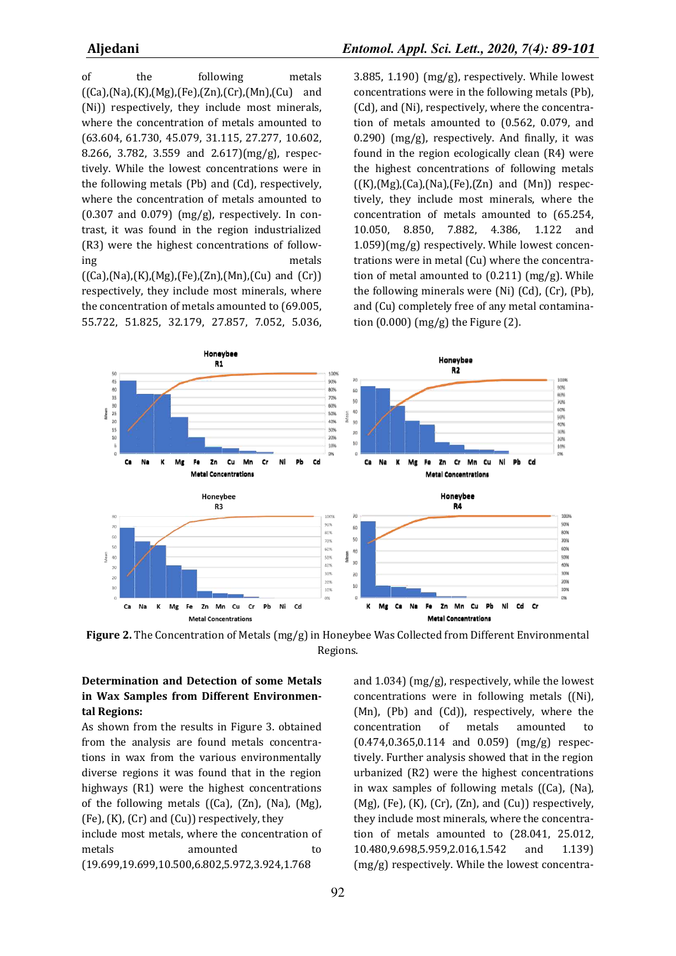of the following metals  $((Ca),(Na),(K),(Mg),(Fe),(Zn),(Cr),(Mn),(Cu)$  and (Ni)) respectively, they include most minerals, where the concentration of metals amounted to (63.604, 61.730, 45.079, 31.115, 27.277, 10.602, 8.266, 3.782, 3.559 and 2.617)(mg/g), respectively. While the lowest concentrations were in the following metals (Pb) and (Cd), respectively, where the concentration of metals amounted to  $(0.307$  and  $0.079)$  (mg/g), respectively. In contrast, it was found in the region industrialized (R3) were the highest concentrations of following metals  $((Ca),(Na),(K),(Mg),(Fe),(Zn),(Mn),(Cu)$  and  $(Cr))$ respectively, they include most minerals, where the concentration of metals amounted to (69.005,

55.722, 51.825, 32.179, 27.857, 7.052, 5.036,

**Aljedani** *Entomol. Appl. Sci. Lett., 2020, 7(4): 89-101*

3.885, 1.190) (mg/g), respectively. While lowest concentrations were in the following metals (Pb), (Cd), and (Ni), respectively, where the concentration of metals amounted to (0.562, 0.079, and  $(0.290)$  (mg/g), respectively. And finally, it was found in the region ecologically clean (R4) were the highest concentrations of following metals  $((K),(Mg),(Ca),(Na),(Fe),(Zn)$  and  $(Mn))$  respectively, they include most minerals, where the concentration of metals amounted to (65.254, 10.050, 8.850, 7.882, 4.386, 1.122 and 1.059)(mg/g) respectively. While lowest concentrations were in metal (Cu) where the concentration of metal amounted to (0.211) (mg/g). While the following minerals were (Ni) (Cd), (Cr), (Pb), and (Cu) completely free of any metal contamination (0.000) (mg/g) the Figure (2).



**Figure 2.** The Concentration of Metals (mg/g) in Honeybee Was Collected from Different Environmental Regions.

# **Determination and Detection of some Metals in Wax Samples from Different Environmental Regions:**

As shown from the results in Figure 3. obtained from the analysis are found metals concentrations in wax from the various environmentally diverse regions it was found that in the region highways (R1) were the highest concentrations of the following metals ((Ca), (Zn), (Na), (Mg),  $(Fe)$ ,  $(K)$ ,  $(Cr)$  and  $(Cu)$ ) respectively, they include most metals, where the concentration of metals amounted to (19.699,19.699,10.500,6.802,5.972,3.924,1.768

and 1.034) (mg/g), respectively, while the lowest concentrations were in following metals ((Ni), (Mn), (Pb) and (Cd)), respectively, where the concentration of metals amounted to (0.474,0.365,0.114 and 0.059) (mg/g) respectively. Further analysis showed that in the region urbanized (R2) were the highest concentrations in wax samples of following metals ((Ca), (Na),  $(Mg)$ ,  $(Fe)$ ,  $(K)$ ,  $(Cr)$ ,  $(Zn)$ , and  $(Cu)$ ) respectively, they include most minerals, where the concentration of metals amounted to (28.041, 25.012, 10.480,9.698,5.959,2.016,1.542 and 1.139) (mg/g) respectively. While the lowest concentra-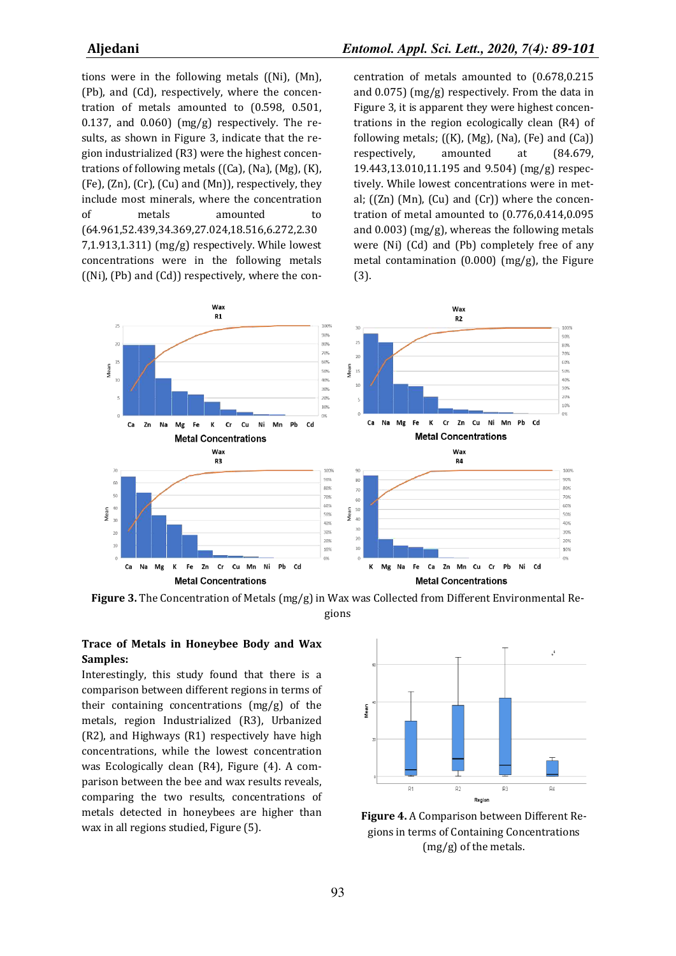tions were in the following metals ((Ni), (Mn), (Pb), and (Cd), respectively, where the concentration of metals amounted to (0.598, 0.501, 0.137, and 0.060) ( $mg/g$ ) respectively. The results, as shown in Figure 3, indicate that the region industrialized (R3) were the highest concentrations of following metals ((Ca), (Na), (Mg), (K), (Fe), (Zn), (Cr), (Cu) and (Mn)), respectively, they include most minerals, where the concentration of metals amounted to (64.961,52.439,34.369,27.024,18.516,6.272,2.30 7,1.913,1.311) (mg/g) respectively. While lowest concentrations were in the following metals ((Ni), (Pb) and (Cd)) respectively, where the concentration of metals amounted to (0.678,0.215 and 0.075) (mg/g) respectively. From the data in Figure 3, it is apparent they were highest concentrations in the region ecologically clean (R4) of following metals;  $((K), (Mg), (Na), (Fe)$  and  $(Ca))$ respectively, amounted at (84.679, 19.443,13.010,11.195 and 9.504) (mg/g) respectively. While lowest concentrations were in metal; ((Zn) (Mn), (Cu) and (Cr)) where the concentration of metal amounted to (0.776,0.414,0.095 and 0.003) (mg/g), whereas the following metals were (Ni) (Cd) and (Pb) completely free of any metal contamination (0.000) (mg/g), the Figure (3).



**Figure 3.** The Concentration of Metals (mg/g) in Wax was Collected from Different Environmental Regions

# **Trace of Metals in Honeybee Body and Wax Samples:**

Interestingly, this study found that there is a comparison between different regions in terms of their containing concentrations (mg/g) of the metals, region Industrialized (R3), Urbanized (R2), and Highways (R1) respectively have high concentrations, while the lowest concentration was Ecologically clean (R4), Figure (4). A comparison between the bee and wax results reveals, comparing the two results, concentrations of metals detected in honeybees are higher than wax in all regions studied, Figure (5).



**Figure 4.** A Comparison between Different Regions in terms of Containing Concentrations (mg/g) of the metals.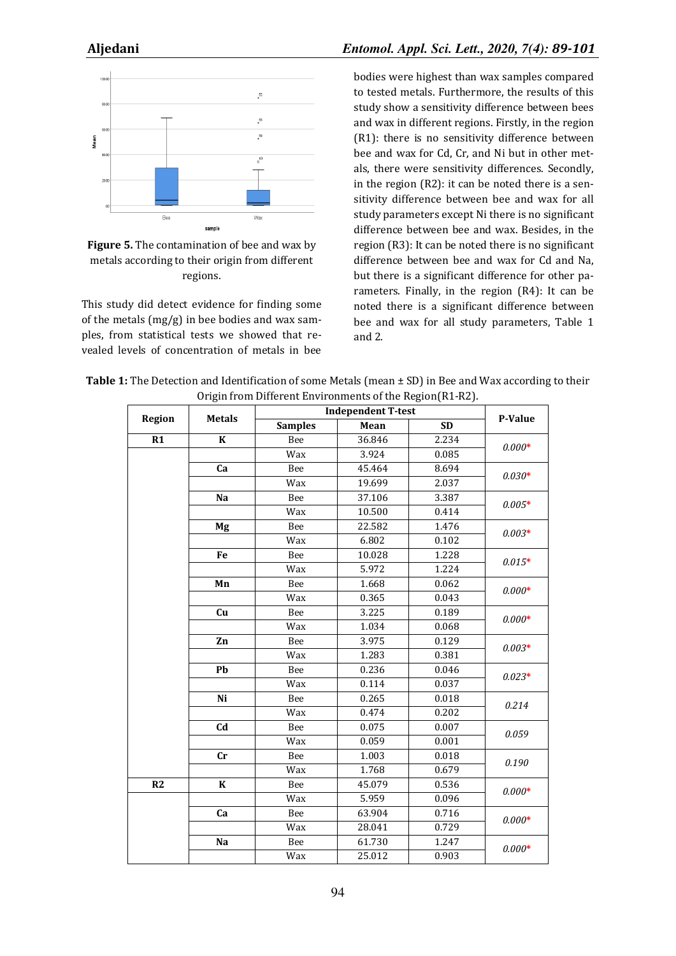

# **Figure 5.** The contamination of bee and wax by metals according to their origin from different regions.

This study did detect evidence for finding some of the metals (mg/g) in bee bodies and wax samples, from statistical tests we showed that revealed levels of concentration of metals in bee bodies were highest than wax samples compared to tested metals. Furthermore, the results of this study show a sensitivity difference between bees and wax in different regions. Firstly, in the region (R1): there is no sensitivity difference between bee and wax for Cd, Cr, and Ni but in other metals, there were sensitivity differences. Secondly, in the region (R2): it can be noted there is a sensitivity difference between bee and wax for all study parameters except Ni there is no significant difference between bee and wax. Besides, in the region (R3): It can be noted there is no significant difference between bee and wax for Cd and Na, but there is a significant difference for other parameters. Finally, in the region (R4): It can be noted there is a significant difference between bee and wax for all study parameters, Table 1 and 2.

**Table 1:** The Detection and Identification of some Metals (mean  $\pm$  SD) in Bee and Wax according to their Origin from Different Environments of the Region(R1-R2).

| Region          | <b>Metals</b>           | <b>Independent T-test</b> |        |           |          |
|-----------------|-------------------------|---------------------------|--------|-----------|----------|
|                 |                         | <b>Samples</b>            | Mean   | <b>SD</b> | P-Value  |
| $\overline{R1}$ | $\overline{\mathbf{K}}$ | Bee                       | 36.846 | 2.234     | $0.000*$ |
|                 |                         | Wax                       | 3.924  | 0.085     |          |
|                 | Ca                      | Bee                       | 45.464 | 8.694     |          |
|                 |                         | Wax                       | 19.699 | 2.037     | $0.030*$ |
|                 | Na                      | Bee                       | 37.106 | 3.387     | $0.005*$ |
|                 |                         | Wax                       | 10.500 | 0.414     |          |
|                 | Mg                      | Bee                       | 22.582 | 1.476     | $0.003*$ |
|                 |                         | Wax                       | 6.802  | 0.102     |          |
|                 | Fe                      | Bee                       | 10.028 | 1.228     | $0.015*$ |
|                 |                         | Wax                       | 5.972  | 1.224     |          |
|                 | Mn                      | Bee                       | 1.668  | 0.062     | $0.000*$ |
|                 |                         | Wax                       | 0.365  | 0.043     |          |
|                 | Cu                      | Bee                       | 3.225  | 0.189     | $0.000*$ |
|                 |                         | Wax                       | 1.034  | 0.068     |          |
|                 | Zn                      | Bee                       | 3.975  | 0.129     | $0.003*$ |
|                 |                         | Wax                       | 1.283  | 0.381     |          |
|                 | Pb                      | Bee                       | 0.236  | 0.046     | $0.023*$ |
|                 |                         | Wax                       | 0.114  | 0.037     |          |
|                 | Ni                      | Bee                       | 0.265  | 0.018     | 0.214    |
|                 |                         | Wax                       | 0.474  | 0.202     |          |
|                 | Cd                      | Bee                       | 0.075  | 0.007     | 0.059    |
|                 |                         | Wax                       | 0.059  | 0.001     |          |
|                 | cr                      | Bee                       | 1.003  | 0.018     | 0.190    |
|                 |                         | Wax                       | 1.768  | 0.679     |          |
| $\overline{R2}$ | $\bf K$                 | Bee                       | 45.079 | 0.536     | $0.000*$ |
|                 |                         | Wax                       | 5.959  | 0.096     |          |
|                 | Ca                      | Bee                       | 63.904 | 0.716     | $0.000*$ |
|                 |                         | Wax                       | 28.041 | 0.729     |          |
|                 | Na                      | Bee                       | 61.730 | 1.247     | $0.000*$ |
|                 |                         | Wax                       | 25.012 | 0.903     |          |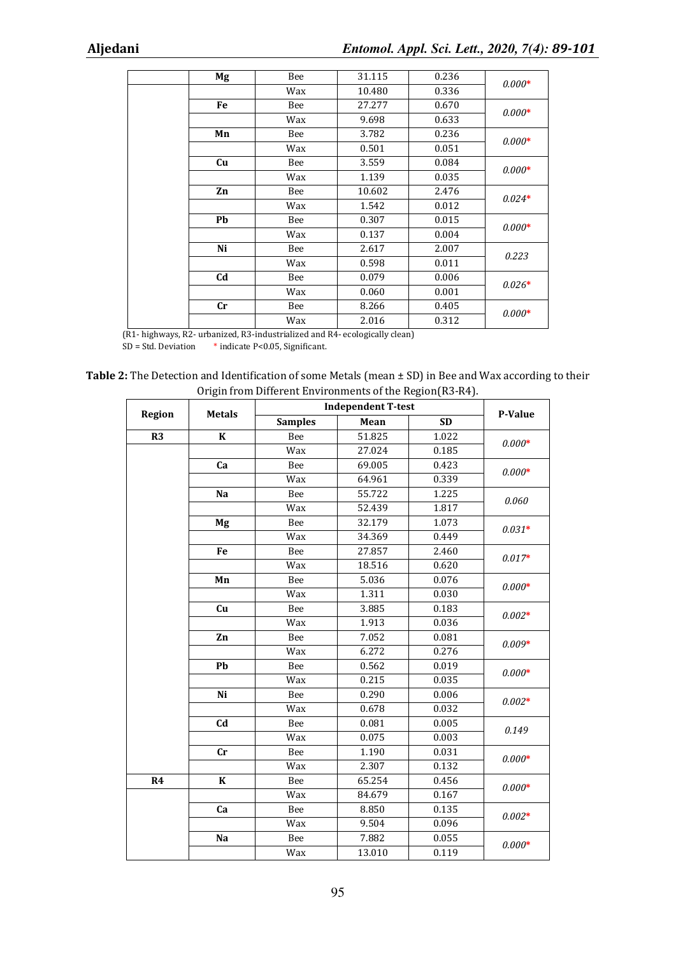|  | Mg                     | Bee | 31.115 | 0.236 | $0.000*$ |
|--|------------------------|-----|--------|-------|----------|
|  |                        | Wax | 10.480 | 0.336 |          |
|  | Fe                     | Bee | 27.277 | 0.670 | $0.000*$ |
|  |                        | Wax | 9.698  | 0.633 |          |
|  | Mn                     | Bee | 3.782  | 0.236 | $0.000*$ |
|  |                        | Wax | 0.501  | 0.051 |          |
|  | Cu                     | Bee | 3.559  | 0.084 | $0.000*$ |
|  |                        | Wax | 1.139  | 0.035 |          |
|  | Zn                     | Bee | 10.602 | 2.476 | $0.024*$ |
|  |                        | Wax | 1.542  | 0.012 |          |
|  | Pb                     | Bee | 0.307  | 0.015 | $0.000*$ |
|  |                        | Wax | 0.137  | 0.004 |          |
|  | Ni                     | Bee | 2.617  | 2.007 | 0.223    |
|  |                        | Wax | 0.598  | 0.011 |          |
|  | C <sub>d</sub>         | Bee | 0.079  | 0.006 | $0.026*$ |
|  |                        | Wax | 0.060  | 0.001 |          |
|  | $\mathbf{C}\mathbf{r}$ | Bee | 8.266  | 0.405 | $0.000*$ |
|  |                        | Wax | 2.016  | 0.312 |          |

(R1- highways, R2- urbanized, R3-industrialized and R4- ecologically clean)

SD = Std. Deviation \* indicate P<0.05, Significant.

**Table 2:** The Detection and Identification of some Metals (mean ± SD) in Bee and Wax according to their Origin from Different Environments of the Region(R3-R4).

| <b>Region</b> | <b>Metals</b>  | <b>Independent T-test</b> |        |           |          |
|---------------|----------------|---------------------------|--------|-----------|----------|
|               |                | <b>Samples</b>            | Mean   | <b>SD</b> | P-Value  |
| R3            | $\bf K$        | Bee                       | 51.825 | 1.022     | $0.000*$ |
|               |                | Wax                       | 27.024 | 0.185     |          |
|               | Ca             | Bee                       | 69.005 | 0.423     | $0.000*$ |
|               |                | Wax                       | 64.961 | 0.339     |          |
|               | Na             | Bee                       | 55.722 | 1.225     |          |
|               |                | Wax                       | 52.439 | 1.817     | 0.060    |
|               | Mg             | Bee                       | 32.179 | 1.073     |          |
|               |                | Wax                       | 34.369 | 0.449     | $0.031*$ |
|               | Fe             | Bee                       | 27.857 | 2.460     | $0.017*$ |
|               |                | Wax                       | 18.516 | 0.620     |          |
|               | Mn             | Bee                       | 5.036  | 0.076     | $0.000*$ |
|               |                | Wax                       | 1.311  | 0.030     |          |
|               | Cu             | Bee                       | 3.885  | 0.183     | $0.002*$ |
|               |                | Wax                       | 1.913  | 0.036     |          |
|               | Zn             | Bee                       | 7.052  | 0.081     | $0.009*$ |
|               |                | Wax                       | 6.272  | 0.276     |          |
|               | Pb             | Bee                       | 0.562  | 0.019     | $0.000*$ |
|               |                | Wax                       | 0.215  | 0.035     |          |
|               | Ni             | Bee                       | 0.290  | 0.006     | $0.002*$ |
|               |                | Wax                       | 0.678  | 0.032     |          |
|               | C <sub>d</sub> | Bee                       | 0.081  | 0.005     | 0.149    |
|               |                | Wax                       | 0.075  | 0.003     |          |
|               | cr             | Bee                       | 1.190  | 0.031     | $0.000*$ |
|               |                | Wax                       | 2.307  | 0.132     |          |
| R4            | $\bf K$        | Bee                       | 65.254 | 0.456     | $0.000*$ |
|               |                | Wax                       | 84.679 | 0.167     |          |
|               | Ca             | Bee                       | 8.850  | 0.135     | $0.002*$ |
|               |                | Wax                       | 9.504  | 0.096     |          |
|               | Na             | Bee                       | 7.882  | 0.055     | $0.000*$ |
|               |                | Wax                       | 13.010 | 0.119     |          |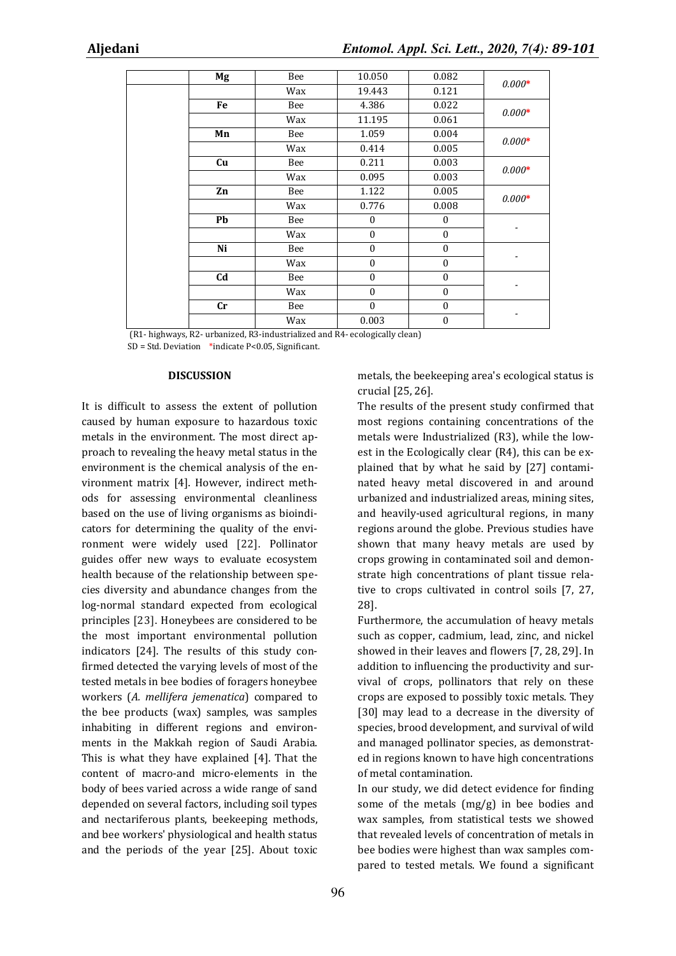|  | Mg                     | Bee | 10.050           | 0.082            | $0.000*$ |
|--|------------------------|-----|------------------|------------------|----------|
|  |                        | Wax | 19.443           | 0.121            |          |
|  | Fe                     | Bee | 4.386            | 0.022            | $0.000*$ |
|  |                        | Wax | 11.195           | 0.061            |          |
|  | Mn                     | Bee | 1.059            | 0.004            | $0.000*$ |
|  |                        | Wax | 0.414            | 0.005            |          |
|  | Cu                     | Bee | 0.211            | 0.003            | $0.000*$ |
|  |                        | Wax | 0.095            | 0.003            |          |
|  | Zn                     | Bee | 1.122            | 0.005            | $0.000*$ |
|  |                        | Wax | 0.776            | 0.008            |          |
|  | Pb                     | Bee | $\boldsymbol{0}$ | $\boldsymbol{0}$ |          |
|  |                        | Wax | $\boldsymbol{0}$ | $\boldsymbol{0}$ | -        |
|  | Ni                     | Bee | $\mathbf{0}$     | $\boldsymbol{0}$ |          |
|  |                        | Wax | $\mathbf{0}$     | $\boldsymbol{0}$ |          |
|  | C <sub>d</sub>         | Bee | $\mathbf{0}$     | $\boldsymbol{0}$ |          |
|  |                        | Wax | $\mathbf{0}$     | $\boldsymbol{0}$ |          |
|  | $\mathbf{C}\mathbf{r}$ | Bee | $\mathbf{0}$     | $\boldsymbol{0}$ |          |
|  |                        | Wax | 0.003            | $\boldsymbol{0}$ |          |

(R1- highways, R2- urbanized, R3-industrialized and R4- ecologically clean)

SD = Std. Deviation \*indicate P<0.05, Significant.

#### **DISCUSSION**

It is difficult to assess the extent of pollution caused by human exposure to hazardous toxic metals in the environment. The most direct approach to revealing the heavy metal status in the environment is the chemical analysis of the environment matrix [4]. However, indirect methods for assessing environmental cleanliness based on the use of living organisms as bioindicators for determining the quality of the environment were widely used [22]. Pollinator guides offer new ways to evaluate ecosystem health because of the relationship between species diversity and abundance changes from the log-normal standard expected from ecological principles [23]. Honeybees are considered to be the most important environmental pollution indicators [24]. The results of this study confirmed detected the varying levels of most of the tested metals in bee bodies of foragers honeybee workers (*A. mellifera jemenatica*) compared to the bee products (wax) samples, was samples inhabiting in different regions and environments in the Makkah region of Saudi Arabia. This is what they have explained [4]. That the content of macro-and micro-elements in the body of bees varied across a wide range of sand depended on several factors, including soil types and nectariferous plants, beekeeping methods, and bee workers' physiological and health status and the periods of the year [25]. About toxic metals, the beekeeping area's ecological status is crucial [25, 26].

The results of the present study confirmed that most regions containing concentrations of the metals were Industrialized (R3), while the lowest in the Ecologically clear (R4), this can be explained that by what he said by [27] contaminated heavy metal discovered in and around urbanized and industrialized areas, mining sites, and heavily-used agricultural regions, in many regions around the globe. Previous studies have shown that many heavy metals are used by crops growing in contaminated soil and demonstrate high concentrations of plant tissue relative to crops cultivated in control soils [7, 27, 28].

Furthermore, the accumulation of heavy metals such as copper, cadmium, lead, zinc, and nickel showed in their leaves and flowers [7, 28, 29]. In addition to influencing the productivity and survival of crops, pollinators that rely on these crops are exposed to possibly toxic metals. They [30] may lead to a decrease in the diversity of species, brood development, and survival of wild and managed pollinator species, as demonstrated in regions known to have high concentrations of metal contamination.

In our study, we did detect evidence for finding some of the metals (mg/g) in bee bodies and wax samples, from statistical tests we showed that revealed levels of concentration of metals in bee bodies were highest than wax samples compared to tested metals. We found a significant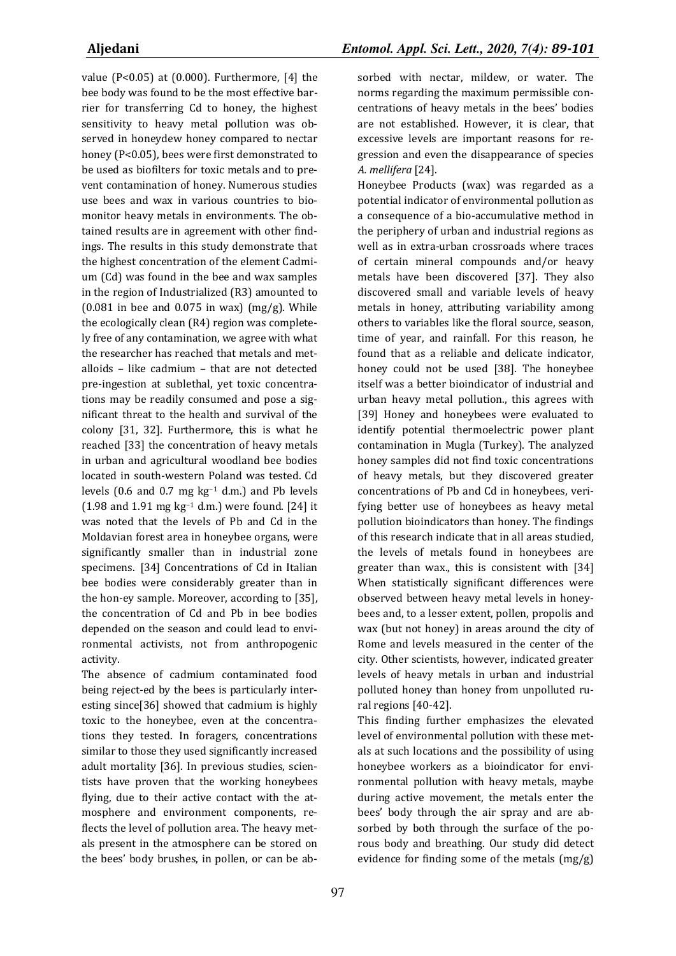value (P<0.05) at (0.000). Furthermore, [4] the bee body was found to be the most effective barrier for transferring Cd to honey, the highest sensitivity to heavy metal pollution was observed in honeydew honey compared to nectar honey (P<0.05), bees were first demonstrated to be used as biofilters for toxic metals and to prevent contamination of honey. Numerous studies use bees and wax in various countries to biomonitor heavy metals in environments. The obtained results are in agreement with other findings. The results in this study demonstrate that the highest concentration of the element Cadmium (Cd) was found in the bee and wax samples in the region of Industrialized (R3) amounted to  $(0.081$  in bee and 0.075 in wax)  $(mg/g)$ . While the ecologically clean (R4) region was completely free of any contamination, we agree with what the researcher has reached that metals and metalloids – like cadmium – that are not detected pre-ingestion at sublethal, yet toxic concentrations may be readily consumed and pose a significant threat to the health and survival of the colony [31, 32]. Furthermore, this is what he reached [33] the concentration of heavy metals in urban and agricultural woodland bee bodies located in south-western Poland was tested. Cd levels (0.6 and 0.7 mg kg−1 d.m.) and Pb levels (1.98 and 1.91 mg kg−1 d.m.) were found. [24] it was noted that the levels of Pb and Cd in the Moldavian forest area in honeybee organs, were significantly smaller than in industrial zone specimens. [34] Concentrations of Cd in Italian bee bodies were considerably greater than in the hon-ey sample. Moreover, according to [35], the concentration of Cd and Pb in bee bodies depended on the season and could lead to environmental activists, not from anthropogenic activity.

The absence of cadmium contaminated food being reject-ed by the bees is particularly interesting since[36] showed that cadmium is highly toxic to the honeybee, even at the concentrations they tested. In foragers, concentrations similar to those they used significantly increased adult mortality [36]. In previous studies, scientists have proven that the working honeybees flying, due to their active contact with the atmosphere and environment components, reflects the level of pollution area. The heavy metals present in the atmosphere can be stored on the bees' body brushes, in pollen, or can be ab-

sorbed with nectar, mildew, or water. The norms regarding the maximum permissible concentrations of heavy metals in the bees' bodies are not established. However, it is clear, that excessive levels are important reasons for regression and even the disappearance of species *A. mellifera* [24].

Honeybee Products (wax) was regarded as a potential indicator of environmental pollution as a consequence of a bio-accumulative method in the periphery of urban and industrial regions as well as in extra-urban crossroads where traces of certain mineral compounds and/or heavy metals have been discovered [37]. They also discovered small and variable levels of heavy metals in honey, attributing variability among others to variables like the floral source, season, time of year, and rainfall. For this reason, he found that as a reliable and delicate indicator, honey could not be used [38]. The honeybee itself was a better bioindicator of industrial and urban heavy metal pollution., this agrees with [39] Honey and honeybees were evaluated to identify potential thermoelectric power plant contamination in Mugla (Turkey). The analyzed honey samples did not find toxic concentrations of heavy metals, but they discovered greater concentrations of Pb and Cd in honeybees, verifying better use of honeybees as heavy metal pollution bioindicators than honey. The findings of this research indicate that in all areas studied, the levels of metals found in honeybees are greater than wax., this is consistent with [34] When statistically significant differences were observed between heavy metal levels in honeybees and, to a lesser extent, pollen, propolis and wax (but not honey) in areas around the city of Rome and levels measured in the center of the city. Other scientists, however, indicated greater levels of heavy metals in urban and industrial polluted honey than honey from unpolluted rural regions [40-42].

This finding further emphasizes the elevated level of environmental pollution with these metals at such locations and the possibility of using honeybee workers as a bioindicator for environmental pollution with heavy metals, maybe during active movement, the metals enter the bees' body through the air spray and are absorbed by both through the surface of the porous body and breathing. Our study did detect evidence for finding some of the metals (mg/g)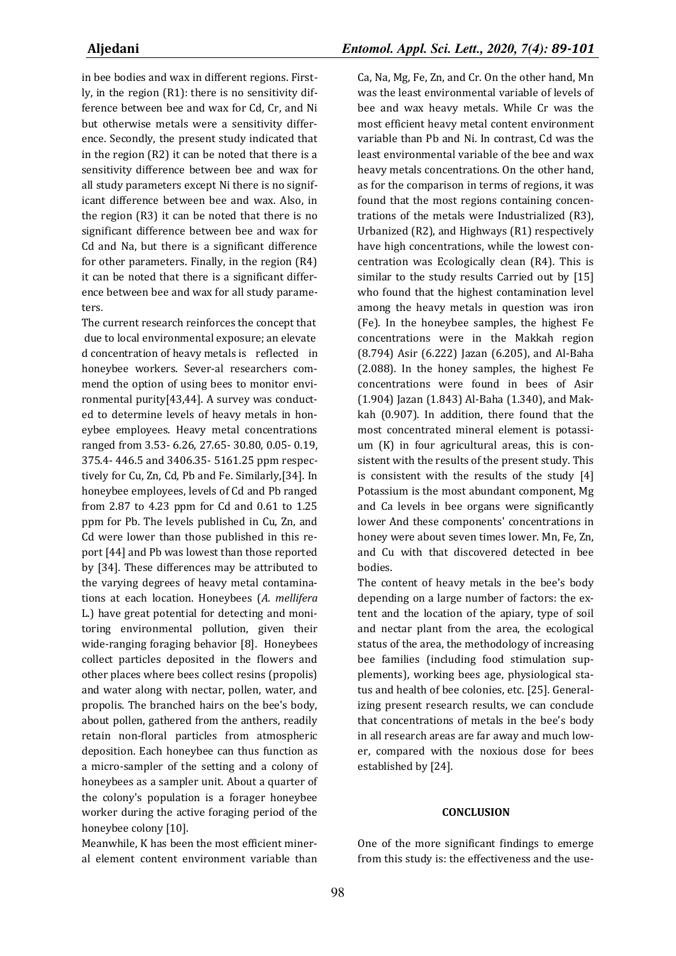in bee bodies and wax in different regions. Firstly, in the region (R1): there is no sensitivity difference between bee and wax for Cd, Cr, and Ni but otherwise metals were a sensitivity difference. Secondly, the present study indicated that in the region (R2) it can be noted that there is a sensitivity difference between bee and wax for all study parameters except Ni there is no significant difference between bee and wax. Also, in the region (R3) it can be noted that there is no significant difference between bee and wax for Cd and Na, but there is a significant difference for other parameters. Finally, in the region (R4) it can be noted that there is a significant difference between bee and wax for all study parameters.

The current research reinforces the concept that due to local environmental exposure; an elevate d concentration of heavy metals is reflected in honeybee workers. Sever-al researchers commend the option of using bees to monitor environmental purity[43,44]. A survey was conducted to determine levels of heavy metals in honeybee employees. Heavy metal concentrations ranged from 3.53- 6.26, 27.65- 30.80, 0.05- 0.19, 375.4- 446.5 and 3406.35- 5161.25 ppm respectively for Cu, Zn, Cd, Pb and Fe. Similarly,[34]. In honeybee employees, levels of Cd and Pb ranged from 2.87 to 4.23 ppm for Cd and 0.61 to 1.25 ppm for Pb. The levels published in Cu, Zn, and Cd were lower than those published in this report [44] and Pb was lowest than those reported by [34]. These differences may be attributed to the varying degrees of heavy metal contaminations at each location. Honeybees (*A. mellifera* L.) have great potential for detecting and monitoring environmental pollution, given their wide-ranging foraging behavior [8]. Honeybees collect particles deposited in the flowers and other places where bees collect resins (propolis) and water along with nectar, pollen, water, and propolis. The branched hairs on the bee's body, about pollen, gathered from the anthers, readily retain non-floral particles from atmospheric deposition. Each honeybee can thus function as a micro-sampler of the setting and a colony of honeybees as a sampler unit. About a quarter of the colony's population is a forager honeybee worker during the active foraging period of the honeybee colony [10].

Meanwhile, K has been the most efficient mineral element content environment variable than Ca, Na, Mg, Fe, Zn, and Cr. On the other hand, Mn was the least environmental variable of levels of bee and wax heavy metals. While Cr was the most efficient heavy metal content environment variable than Pb and Ni. In contrast, Cd was the least environmental variable of the bee and wax heavy metals concentrations. On the other hand, as for the comparison in terms of regions, it was found that the most regions containing concentrations of the metals were Industrialized (R3), Urbanized (R2), and Highways (R1) respectively have high concentrations, while the lowest concentration was Ecologically clean (R4). This is similar to the study results Carried out by [15] who found that the highest contamination level among the heavy metals in question was iron (Fe). In the honeybee samples, the highest Fe concentrations were in the Makkah region (8.794) Asir (6.222) Jazan (6.205), and Al-Baha (2.088). In the honey samples, the highest Fe concentrations were found in bees of Asir (1.904) Jazan (1.843) Al-Baha (1.340), and Makkah (0.907). In addition, there found that the most concentrated mineral element is potassium (K) in four agricultural areas, this is consistent with the results of the present study. This is consistent with the results of the study [4] Potassium is the most abundant component, Mg and Ca levels in bee organs were significantly lower And these components' concentrations in honey were about seven times lower. Mn, Fe, Zn, and Cu with that discovered detected in bee bodies.

The content of heavy metals in the bee's body depending on a large number of factors: the extent and the location of the apiary, type of soil and nectar plant from the area, the ecological status of the area, the methodology of increasing bee families (including food stimulation supplements), working bees age, physiological status and health of bee colonies, etc. [25]. Generalizing present research results, we can conclude that concentrations of metals in the bee's body in all research areas are far away and much lower, compared with the noxious dose for bees established by [24].

#### **CONCLUSION**

One of the more significant findings to emerge from this study is: the effectiveness and the use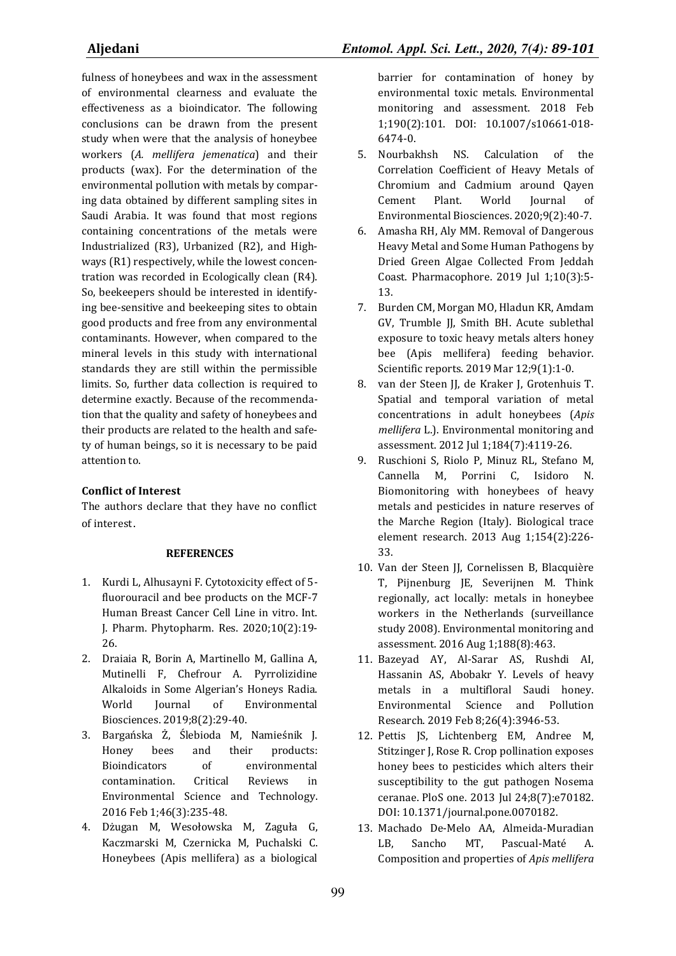fulness of honeybees and wax in the assessment of environmental clearness and evaluate the effectiveness as a bioindicator. The following conclusions can be drawn from the present study when were that the analysis of honeybee workers (*A. mellifera jemenatica*) and their products (wax). For the determination of the environmental pollution with metals by comparing data obtained by different sampling sites in Saudi Arabia. It was found that most regions containing concentrations of the metals were Industrialized (R3), Urbanized (R2), and Highways (R1) respectively, while the lowest concentration was recorded in Ecologically clean (R4). So, beekeepers should be interested in identifying bee-sensitive and beekeeping sites to obtain good products and free from any environmental contaminants. However, when compared to the mineral levels in this study with international standards they are still within the permissible limits. So, further data collection is required to determine exactly. Because of the recommendation that the quality and safety of honeybees and their products are related to the health and safety of human beings, so it is necessary to be paid attention to.

# **Conflict of Interest**

The authors declare that they have no conflict of interest.

# **REFERENCES**

- 1. Kurdi L, Alhusayni F. Cytotoxicity effect of 5 fluorouracil and bee products on the MCF-7 Human Breast Cancer Cell Line in vitro. Int. J. Pharm. Phytopharm. Res. 2020;10(2):19- 26.
- 2. Draiaia R, Borin A, Martinello M, Gallina A, Mutinelli F, Chefrour A. Pyrrolizidine Alkaloids in Some Algerian's Honeys Radia.<br>World Journal of Environmental World Journal of Environmental Biosciences. 2019;8(2):29-40.
- 3. Bargańska Ż, Ślebioda M, Namieśnik J. bees and their products: Bioindicators of environmental contamination. Critical Reviews in Environmental Science and Technology. 2016 Feb 1;46(3):235-48.
- 4. Dżugan M, Wesołowska M, Zaguła G, Kaczmarski M, Czernicka M, Puchalski C. Honeybees (Apis mellifera) as a biological

barrier for contamination of honey by environmental toxic metals. Environmental monitoring and assessment. 2018 Feb 1;190(2):101. DOI: 10.1007/s10661-018- 6474-0.

- 5. Nourbakhsh NS. Calculation of the Correlation Coefficient of Heavy Metals of Chromium and Cadmium around Qayen Cement Plant. World Journal of Environmental Biosciences. 2020;9(2):40-7.
- 6. Amasha RH, Aly MM. Removal of Dangerous Heavy Metal and Some Human Pathogens by Dried Green Algae Collected From Jeddah Coast. Pharmacophore. 2019 Jul 1;10(3):5- 13.
- 7. Burden CM, Morgan MO, Hladun KR, Amdam GV, Trumble JJ, Smith BH. Acute sublethal exposure to toxic heavy metals alters honey bee (Apis mellifera) feeding behavior. Scientific reports. 2019 Mar 12;9(1):1-0.
- 8. van der Steen JJ, de Kraker J, Grotenhuis T. Spatial and temporal variation of metal concentrations in adult honeybees (*Apis mellifera* L.). Environmental monitoring and assessment. 2012 Jul 1;184(7):4119-26.
- 9. Ruschioni S, Riolo P, Minuz RL, Stefano M, Cannella M, Porrini C, Isidoro N. Biomonitoring with honeybees of heavy metals and pesticides in nature reserves of the Marche Region (Italy). Biological trace element research. 2013 Aug 1;154(2):226- 33.
- 10. Van der Steen JJ, Cornelissen B, Blacquière T. Pijnenburg JE, Severijnen M. Think regionally, act locally: metals in honeybee workers in the Netherlands (surveillance study 2008). Environmental monitoring and assessment. 2016 Aug 1;188(8):463.
- 11. Bazeyad AY, Al-Sarar AS, Rushdi AI, Hassanin AS, Abobakr Y. Levels of heavy metals in a multifloral Saudi honey. Environmental Science and Pollution Research. 2019 Feb 8;26(4):3946-53.
- 12. Pettis JS, Lichtenberg EM, Andree M, Stitzinger J, Rose R. Crop pollination exposes honey bees to pesticides which alters their susceptibility to the gut pathogen Nosema ceranae. PloS one. 2013 Jul 24;8(7):e70182. DOI: 10.1371/journal.pone.0070182.
- 13. Machado De-Melo AA, Almeida-Muradian LB, Sancho MT, Pascual-Maté A. Composition and properties of *Apis mellifera*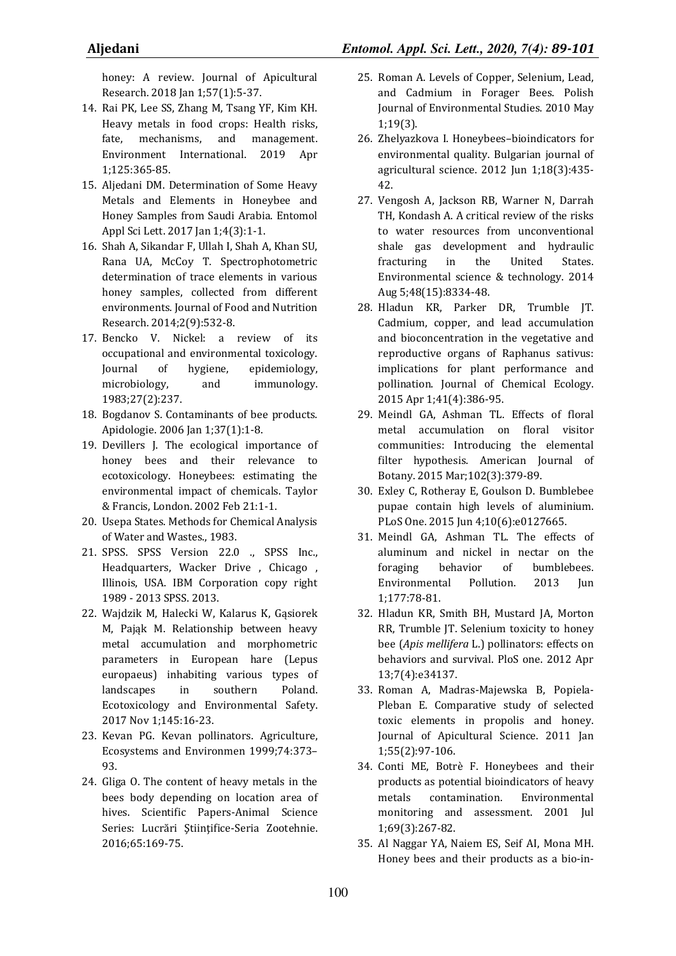honey: A review. Journal of Apicultural Research. 2018 Jan 1;57(1):5-37.

- 14. Rai PK, Lee SS, Zhang M, Tsang YF, Kim KH. Heavy metals in food crops: Health risks, fate, mechanisms, and management. Environment International. 2019 Apr 1;125:365-85.
- 15. Aljedani DM. Determination of Some Heavy Metals and Elements in Honeybee and Honey Samples from Saudi Arabia. Entomol Appl Sci Lett. 2017 Jan 1;4(3):1-1.
- 16. Shah A, Sikandar F, Ullah I, Shah A, Khan SU, Rana UA, McCoy T. Spectrophotometric determination of trace elements in various honey samples, collected from different environments. Journal of Food and Nutrition Research. 2014;2(9):532-8.
- 17. Bencko V. Nickel: a review of its occupational and environmental toxicology. Journal of hygiene, epidemiology, microbiology, and immunology. 1983;27(2):237.
- 18. Bogdanov S. Contaminants of bee products. Apidologie. 2006 Jan 1;37(1):1-8.
- 19. Devillers J. The ecological importance of honey bees and their relevance to ecotoxicology. Honeybees: estimating the environmental impact of chemicals. Taylor & Francis, London. 2002 Feb 21:1-1.
- 20. Usepa States. Methods for Chemical Analysis of Water and Wastes., 1983.
- 21. SPSS. SPSS Version 22.0 ., SPSS Inc., Headquarters, Wacker Drive , Chicago , Illinois, USA. IBM Corporation copy right 1989 - 2013 SPSS. 2013.
- 22. Wajdzik M, Halecki W, Kalarus K, Gąsiorek M, Pająk M. Relationship between heavy metal accumulation and morphometric parameters in European hare (Lepus europaeus) inhabiting various types of landscapes in southern Poland. Ecotoxicology and Environmental Safety. 2017 Nov 1;145:16-23.
- 23. Kevan PG. Kevan pollinators. Agriculture, Ecosystems and Environmen 1999;74:373– 93.
- 24. Gliga O. The content of heavy metals in the bees body depending on location area of hives. Scientific Papers-Animal Science Series: Lucrări Stiintifice-Seria Zootehnie. 2016;65:169-75.
- 25. Roman A. Levels of Copper, Selenium, Lead, and Cadmium in Forager Bees. Polish Journal of Environmental Studies. 2010 May 1;19(3).
- 26. Zhelyazkova I. Honeybees–bioindicators for environmental quality. Bulgarian journal of agricultural science. 2012 Jun 1;18(3):435- 42.
- 27. Vengosh A, Jackson RB, Warner N, Darrah TH, Kondash A. A critical review of the risks to water resources from unconventional shale gas development and hydraulic fracturing in the United States. Environmental science & technology. 2014 Aug 5;48(15):8334-48.
- 28. Hladun KR, Parker DR, Trumble JT. Cadmium, copper, and lead accumulation and bioconcentration in the vegetative and reproductive organs of Raphanus sativus: implications for plant performance and pollination. Journal of Chemical Ecology. 2015 Apr 1;41(4):386-95.
- 29. Meindl GA, Ashman TL. Effects of floral metal accumulation on floral visitor communities: Introducing the elemental filter hypothesis. American Journal of Botany. 2015 Mar;102(3):379-89.
- 30. Exley C, Rotheray E, Goulson D. Bumblebee pupae contain high levels of aluminium. PLoS One. 2015 Jun 4;10(6):e0127665.
- 31. Meindl GA, Ashman TL. The effects of aluminum and nickel in nectar on the foraging behavior of bumblebees. Environmental Pollution. 2013 Jun 1;177:78-81.
- 32. Hladun KR, Smith BH, Mustard JA, Morton RR, Trumble JT. Selenium toxicity to honey bee (*Apis mellifera* L.) pollinators: effects on behaviors and survival. PloS one. 2012 Apr 13;7(4):e34137.
- 33. Roman A, Madras-Majewska B, Popiela-Pleban E. Comparative study of selected toxic elements in propolis and honey. Journal of Apicultural Science. 2011 Jan 1;55(2):97-106.
- 34. Conti ME, Botrè F. Honeybees and their products as potential bioindicators of heavy metals contamination. Environmental monitoring and assessment. 2001 Jul 1;69(3):267-82.
- 35. Al Naggar YA, Naiem ES, Seif AI, Mona MH. Honey bees and their products as a bio-in-